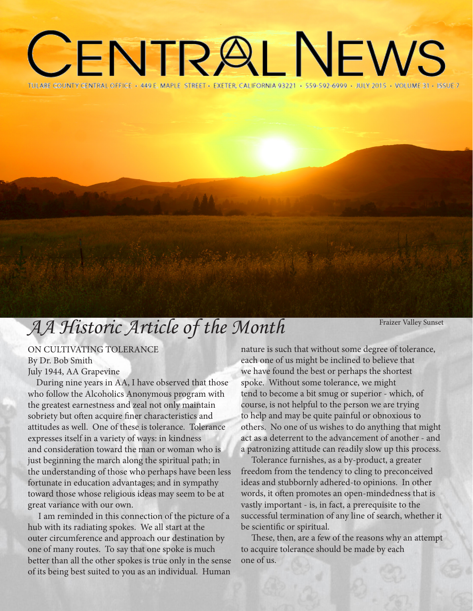# JENTRAL NEWS TULARE COUNTY CENTRAL OFFICE +449 E. MAPLE STREET + EXETER. CALIFORNIA 93221 +559-592-6999 + JULY 2015 + VOLUME 31 + ISSUE 7

### AA Historic Article of the Month

ON CULTIVATING TOLERANCE By Dr. Bob Smith July 1944, AA Grapevine

 During nine years in AA, I have observed that those who follow the Alcoholics Anonymous program with the greatest earnestness and zeal not only maintain sobriety but often acquire finer characteristics and attitudes as well. One of these is tolerance. Tolerance expresses itself in a variety of ways: in kindness and consideration toward the man or woman who is just beginning the march along the spiritual path; in the understanding of those who perhaps have been less fortunate in education advantages; and in sympathy toward those whose religious ideas may seem to be at great variance with our own.

 I am reminded in this connection of the picture of a hub with its radiating spokes. We all start at the outer circumference and approach our destination by one of many routes. To say that one spoke is much better than all the other spokes is true only in the sense of its being best suited to you as an individual. Human

nature is such that without some degree of tolerance, each one of us might be inclined to believe that we have found the best or perhaps the shortest spoke. Without some tolerance, we might tend to become a bit smug or superior - which, of course, is not helpful to the person we are trying to help and may be quite painful or obnoxious to others. No one of us wishes to do anything that might act as a deterrent to the advancement of another - and a patronizing attitude can readily slow up this process.

 Tolerance furnishes, as a by-product, a greater freedom from the tendency to cling to preconceived ideas and stubbornly adhered-to opinions. In other words, it often promotes an open-mindedness that is vastly important - is, in fact, a prerequisite to the successful termination of any line of search, whether it be scientific or spiritual.

 These, then, are a few of the reasons why an attempt to acquire tolerance should be made by each one of us.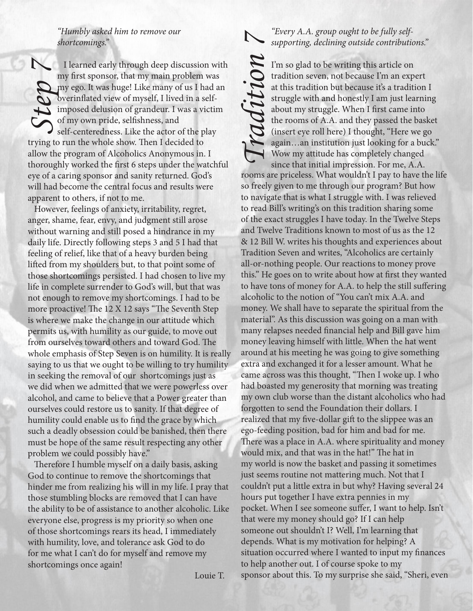*"Humbly asked him to remove our shortcomings."*

*Step 7* I learned early through deep discussion with my first sponsor, that my main problem was my ego. It was huge! Like many of us I had an overinflated view of myself, I lived in a selfimposed delusion of grandeur. I was a victim of my own pride, selfishness, and self-centeredness. Like the actor of the play trying to run the whole show. Then I decided to allow the program of Alcoholics Anonymous in. I thoroughly worked the first 6 steps under the watchful eye of a caring sponsor and sanity returned. God's will had become the central focus and results were apparent to others, if not to me.

 However, feelings of anxiety, irritability, regret, anger, shame, fear, envy, and judgment still arose without warning and still posed a hindrance in my daily life. Directly following steps 3 and 5 I had that feeling of relief, like that of a heavy burden being lifted from my shoulders but, to that point some of those shortcomings persisted. I had chosen to live my life in complete surrender to God's will, but that was not enough to remove my shortcomings. I had to be more proactive! The 12 X 12 says "The Seventh Step is where we make the change in our attitude which permits us, with humility as our guide, to move out from ourselves toward others and toward God. The whole emphasis of Step Seven is on humility. It is really saying to us that we ought to be willing to try humility in seeking the removal of our shortcomings just as we did when we admitted that we were powerless over alcohol, and came to believe that a Power greater than ourselves could restore us to sanity. If that degree of humility could enable us to find the grace by which such a deadly obsession could be banished, then there must be hope of the same result respecting any other problem we could possibly have."

 Therefore I humble myself on a daily basis, asking God to continue to remove the shortcomings that hinder me from realizing his will in my life. I pray that those stumbling blocks are removed that I can have the ability to be of assistance to another alcoholic. Like everyone else, progress is my priority so when one of those shortcomings rears its head, I immediately with humility, love, and tolerance ask God to do for me what I can't do for myself and remove my shortcomings once again!

#### *"Every A.A. group ought to be fully selfsupporting, declining outside contributions."*

*Tradition 7* I'm so glad to be writing this article on<br>tradition seven, not because I'm an exp<br>at this tradition but because it's a tradit<br>struggle with and honestly I am just lea<br>about my struggle. When I first came it<br>the rooms of A. tradition seven, not because I'm an expert at this tradition but because it's a tradition I struggle with and honestly I am just learning about my struggle. When I first came into the rooms of A.A. and they passed the basket (insert eye roll here) I thought, "Here we go again…an institution just looking for a buck." Wow my attitude has completely changed since that initial impression. For me, A.A.

rooms are priceless. What wouldn't I pay to have the life so freely given to me through our program? But how to navigate that is what I struggle with. I was relieved to read Bill's writing's on this tradition sharing some of the exact struggles I have today. In the Twelve Steps and Twelve Traditions known to most of us as the 12 & 12 Bill W. writes his thoughts and experiences about Tradition Seven and writes, "Alcoholics are certainly all-or-nothing people. Our reactions to money prove this." He goes on to write about how at first they wanted to have tons of money for A.A. to help the still suffering alcoholic to the notion of "You can't mix A.A. and money. We shall have to separate the spiritual from the material". As this discussion was going on a man with many relapses needed financial help and Bill gave him money leaving himself with little. When the hat went around at his meeting he was going to give something extra and exchanged it for a lesser amount. What he came across was this thought, "Then I woke up. I who had boasted my generosity that morning was treating my own club worse than the distant alcoholics who had forgotten to send the Foundation their dollars. I realized that my five-dollar gift to the slippee was an ego-feeding position, bad for him and bad for me. There was a place in A.A. where spirituality and money would mix, and that was in the hat!" The hat in my world is now the basket and passing it sometimes just seems routine not mattering much. Not that I couldn't put a little extra in but why? Having several 24 hours put together I have extra pennies in my pocket. When I see someone suffer, I want to help. Isn't that were my money should go? If I can help someone out shouldn't I? Well, I'm learning that depends. What is my motivation for helping? A situation occurred where I wanted to input my finances to help another out. I of course spoke to my sponsor about this. To my surprise she said, "Sheri, even

Louie T.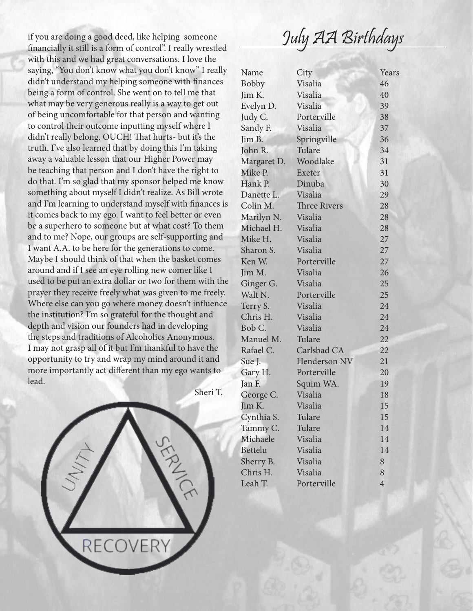if you are doing a good deed, like helping someone  $\int u(y) A A \text{ Birth}$ financially it still is a form of control". I really wrestled with this and we had great conversations. I love the saying, "You don't know what you don't know" I really didn't understand my helping someone with finances being a form of control. She went on to tell me that what may be very generous really is a way to get out of being uncomfortable for that person and wanting to control their outcome inputting myself where I didn't really belong. OUCH! That hurts- but it's the truth. I've also learned that by doing this I'm taking away a valuable lesson that our Higher Power may be teaching that person and I don't have the right to do that. I'm so glad that my sponsor helped me know something about myself I didn't realize. As Bill wrote and I'm learning to understand myself with finances is it comes back to my ego. I want to feel better or even be a superhero to someone but at what cost? To them and to me? Nope, our groups are self-supporting and I want A.A. to be here for the generations to come. Maybe I should think of that when the basket comes around and if I see an eye rolling new comer like I used to be put an extra dollar or two for them with the prayer they receive freely what was given to me freely. Where else can you go where money doesn't influence the institution? I'm so grateful for the thought and depth and vision our founders had in developing the steps and traditions of Alcoholics Anonymous. I may not grasp all of it but I'm thankful to have the opportunity to try and wrap my mind around it and more importantly act different than my ego wants to lead.

RECOVERY

Sheri T.

| Name         | City                | Years          |
|--------------|---------------------|----------------|
| <b>Bobby</b> | Visalia             | 46             |
| Jim K.       | Visalia             | 40             |
| Evelyn D.    | Visalia             | 39             |
| Judy C.      | Porterville         | 38             |
| Sandy F.     | Visalia             | 37             |
| Jim B.       | Springville         | 36             |
| John R.      | Tulare              | 34             |
| Margaret D.  | Woodlake            | 31             |
| Mike P.      | Exeter              | 31             |
| Hank P.      | Dinuba              | 30             |
| Danette L.   | Visalia             | 29             |
| Colin M.     | <b>Three Rivers</b> | 28             |
| Marilyn N.   | Visalia             | 28             |
| Michael H.   | Visalia             | 28             |
| Mike H.      | Visalia             | 27             |
| Sharon S.    | Visalia             | 27             |
| Ken W.       | Porterville         | 27             |
| Jim M.       | Visalia             | 26             |
| Ginger G.    | Visalia             | 25             |
| Walt N.      | Porterville         | 25             |
| Terry S.     | Visalia             | 24             |
| Chris H.     | Visalia             | 24             |
| Bob C.       | Visalia             | 24             |
| Manuel M.    | Tulare              | 22             |
| Rafael C.    | Carlsbad CA         | 22             |
| Sue J.       | <b>Henderson NV</b> | 21             |
| Gary H.      | Porterville         | 20             |
| Jan F.       | Squim WA.           | 19             |
| George C.    | Visalia             | 18             |
| Jim K.       | Visalia             | 15             |
| Cynthia S.   | Tulare              | 15             |
| Tammy C.     | Tulare              | 14             |
| Michaele     | Visalia             | 14             |
| Bettelu      | Visalia             | 14             |
| Sherry B.    | Visalia             | 8              |
| Chris H.     | Visalia             | 8              |
| Leah T.      | Porterville         | $\overline{4}$ |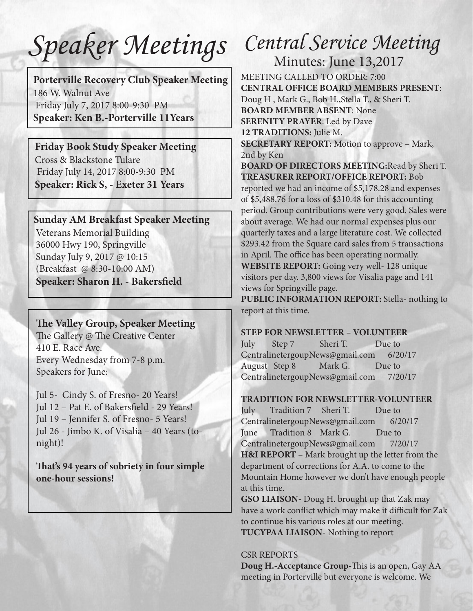# *Speaker Meetings*

 **Porterville Recovery Club Speaker Meeting** 186 W. Walnut Ave Friday July 7, 2017 8:00-9:30 PM **Speaker: Ken B.-Porterville 11Years** 

 **Friday Book Study Speaker Meeting** Cross & Blackstone Tulare Friday July 14, 2017 8:00-9:30 PM **Speaker: Rick S, - Exeter 31 Years**

#### **Sunday AM Breakfast Speaker Meeting**

Veterans Memorial Building 36000 Hwy 190, Springville Sunday July 9, 2017 @ 10:15 (Breakfast @ 8:30-10:00 AM) **Speaker: Sharon H. - Bakersfield** 

#### **The Valley Group, Speaker Meeting**

The Gallery @ The Creative Center 410 E. Race Ave. Every Wednesday from 7-8 p.m. Speakers for June:

Jul 5- Cindy S. of Fresno- 20 Years! Jul 12 – Pat E. of Bakersfield - 29 Years! Jul 19 – Jennifer S. of Fresno- 5 Years! Jul 26 - Jimbo K. of Visalia – 40 Years (tonight)!

**That's 94 years of sobriety in four simple one-hour sessions!**

### *Central Service Meeting*

Minutes: June 13,2017 MEETING CALLED TO ORDER: 7:00 **CENTRAL OFFICE BOARD MEMBERS PRESENT**: Doug H , Mark G., Bob H.,Stella T., & Sheri T. **BOARD MEMBER ABSENT**: None **SERENITY PRAYER**: Led by Dave **12 TRADITIONS:** Julie M. **SECRETARY REPORT:** Motion to approve – Mark, 2nd by Ken **BOARD OF DIRECTORS MEETING:**Read by Sheri T. **TREASURER REPORT/OFFICE REPORT:** Bob reported we had an income of \$5,178.28 and expenses of \$5,488.76 for a loss of \$310.48 for this accounting

period. Group contributions were very good. Sales were about average. We had our normal expenses plus our quarterly taxes and a large literature cost. We collected \$293.42 from the Square card sales from 5 transactions in April. The office has been operating normally. **WEBSITE REPORT:** Going very well- 128 unique visitors per day. 3,800 views for Visalia page and 141 views for Springville page.

**PUBLIC INFORMATION REPORT:** Stella- nothing to report at this time.

#### **STEP FOR NEWSLETTER – VOLUNTEER**

July Step 7 Sheri T. Due to CentralinetergoupNews@gmail.com 6/20/17 August Step 8 Mark G. Due to CentralinetergoupNews@gmail.com 7/20/17

#### **TRADITION FOR NEWSLETTER-VOLUNTEER**

July Tradition 7 Sheri T. Due to CentralinetergoupNews@gmail.com 6/20/17 June Tradition 8 Mark G. Due to CentralinetergoupNews@gmail.com 7/20/17 **H&I REPORT** – Mark brought up the letter from the department of corrections for A.A. to come to the Mountain Home however we don't have enough people at this time.

**GSO LIAISON-** Doug H. brought up that Zak may have a work conflict which may make it difficult for Zak to continue his various roles at our meeting. **TUCYPAA LIAISON**- Nothing to report

#### CSR REPORTS

**Doug H.-Acceptance Group-**This is an open, Gay AA meeting in Porterville but everyone is welcome. We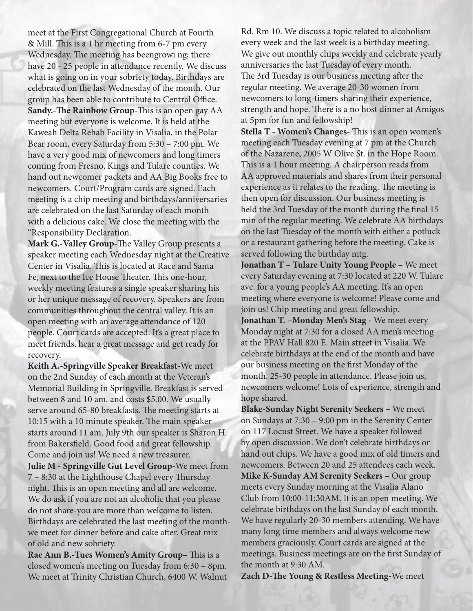meet at the First Congregational Church at Fourth & Mill. This is a 1 hr meeting from 6-7 pm every Wednesday. The meeting has beengrowi ng; there have 20 - 25 people in attendance recently. We discuss what is going on in your sobriety today. Birthdays are celebrated on the last Wednesday of the month. Our group has been able to contribute to Central Office. **Sandy.-The Rainbow Group-**This is an open gay AA meeting but everyone is welcome. It is held at the Kaweah Delta Rehab Facility in Visalia, in the Polar Bear room, every Saturday from 5:30 – 7:00 pm. We have a very good mix of newcomers and long timers coming from Fresno, Kings and Tulare counties. We hand out newcomer packets and AA Big Books free to newcomers. Court/Program cards are signed. Each meeting is a chip meeting and birthdays/anniversaries are celebrated on the last Saturday of each month with a delicious cake. We close the meeting with the "Responsibility Declaration.

**Mark G.-Valley Group-**The Valley Group presents a speaker meeting each Wednesday night at the Creative Center in Visalia. This is located at Race and Santa Fe, next to the Ice House Theater. This one-hour, weekly meeting features a single speaker sharing his or her unique message of recovery. Speakers are from communities throughout the central valley. It is an open meeting with an average attendance of 120 people. Court cards are accepted. It's a great place to meet friends, hear a great message and get ready for recovery.

**Keith A.-Springville Speaker Breakfast-**We meet on the 2nd Sunday of each month at the Veteran's Memorial Building in Springville. Breakfast is served between 8 and 10 am. and costs \$5.00. We usually serve around 65-80 breakfasts. The meeting starts at 10:15 with a 10 minute speaker. The main speaker starts around 11 am. July 9th our speaker is Sharon H. from Bakersfield. Good food and great fellowship. Come and join us! We need a new treasurer. **Julie M - Springville Gut Level Group-**We meet from 7 – 8:30 at the Lighthouse Chapel every Thursday night. This is an open meeting and all are welcome. We do ask if you are not an alcoholic that you please do not share-you are more than welcome to listen. Birthdays are celebrated the last meeting of the monthwe meet for dinner before and cake after. Great mix of old and new sobriety.

**Rae Ann B.-Tues Women's Amity Group–** This is a closed women's meeting on Tuesday from 6:30 – 8pm. We meet at Trinity Christian Church, 6400 W. Walnut Rd. Rm 10. We discuss a topic related to alcoholism every week and the last week is a birthday meeting. We give out monthly chips weekly and celebrate yearly anniversaries the last Tuesday of every month. The 3rd Tuesday is our business meeting after the regular meeting. We average 20-30 women from newcomers to long-timers sharing their experience, strength and hope. There is a no host dinner at Amigos at 5pm for fun and fellowship!

**Stella T - Women's Changes-** This is an open women's meeting each Tuesday evening at 7 pm at the Church of the Nazarene, 2005 W Olive St. in the Hope Room. This is a 1 hour meeting. A chairperson reads from AA approved materials and shares from their personal experience as it relates to the reading. The meeting is then open for discussion. Our business meeting is held the 3rd Tuesday of the month during the final 15 min of the regular meeting. We celebrate AA birthdays on the last Tuesday of the month with either a potluck or a restaurant gathering before the meeting. Cake is served following the birthday mtg.

**Jonathan T – Tulare Unity Young People –** We meet every Saturday evening at 7:30 located at 220 W. Tulare ave. for a young people's AA meeting. It's an open meeting where everyone is welcome! Please come and join us! Chip meeting and great fellowship. **Jonathan T. –Monday Men's Stag -** We meet every Monday night at 7:30 for a closed AA men's meeting at the PPAV Hall 820 E. Main street in Visalia. We celebrate birthdays at the end of the month and have our business meeting on the first Monday of the month. 25-30 people in attendance. Please join us, newcomers welcome! Lots of experience, strength and hope shared.

**Blake-Sunday Night Serenity Seekers –** We meet on Sundays at 7:30 – 9:00 pm in the Serenity Center on 117 Locust Street. We have a speaker followed by open discussion. We don't celebrate birthdays or hand out chips. We have a good mix of old timers and newcomers. Between 20 and 25 attendees each week. **Mike K-Sunday AM Serenity Seekers –** Our group meets every Sunday morning at the Visalia Alano Club from 10:00-11:30AM. It is an open meeting. We celebrate birthdays on the last Sunday of each month. We have regularly 20-30 members attending. We have many long time members and always welcome new members graciously. Court cards are signed at the meetings. Business meetings are on the first Sunday of the month at 9:30 AM.

**Zach D-The Young & Restless Meeting-**We meet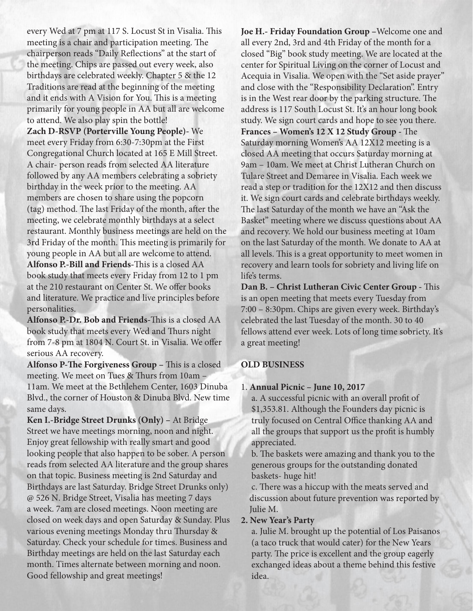every Wed at 7 pm at 117 S. Locust St in Visalia. This meeting is a chair and participation meeting. The chairperson reads "Daily Reflections" at the start of the meeting. Chips are passed out every week, also birthdays are celebrated weekly. Chapter 5 & the 12 Traditions are read at the beginning of the meeting and it ends with A Vision for You. This is a meeting primarily for young people in AA but all are welcome to attend. We also play spin the bottle!

**Zach D-RSVP (Porterville Young People)-** We meet every Friday from 6:30-7:30pm at the First Congregational Church located at 165 E Mill Street. A chair- person reads from selected AA literature followed by any AA members celebrating a sobriety birthday in the week prior to the meeting. AA members are chosen to share using the popcorn (tag) method. The last Friday of the month, after the meeting, we celebrate monthly birthdays at a select restaurant. Monthly business meetings are held on the 3rd Friday of the month. This meeting is primarily for young people in AA but all are welcome to attend. **Alfonso P.-Bill and Friends-**This is a closed AA book study that meets every Friday from 12 to 1 pm at the 210 restaurant on Center St. We offer books and literature. We practice and live principles before personalities.

**Alfonso P.-Dr. Bob and Friends-**This is a closed AA book study that meets every Wed and Thurs night from 7-8 pm at 1804 N. Court St. in Visalia. We offer serious AA recovery.

**Alfonso P-The Forgiveness Group –** This is a closed meeting. We meet on Tues & Thurs from 10am – 11am. We meet at the Bethlehem Center, 1603 Dinuba Blvd., the corner of Houston & Dinuba Blvd. New time same days.

**Ken I.-Bridge Street Drunks (Only) –** At Bridge Street we have meetings morning, noon and night. Enjoy great fellowship with really smart and good looking people that also happen to be sober. A person reads from selected AA literature and the group shares on that topic. Business meeting is 2nd Saturday and Birthdays are last Saturday. Bridge Street Drunks only) @ 526 N. Bridge Street, Visalia has meeting 7 days a week. 7am are closed meetings. Noon meeting are closed on week days and open Saturday & Sunday. Plus various evening meetings Monday thru Thursday & Saturday. Check your schedule for times. Business and Birthday meetings are held on the last Saturday each month. Times alternate between morning and noon. Good fellowship and great meetings!

**Joe H.- Friday Foundation Group –**Welcome one and all every 2nd, 3rd and 4th Friday of the month for a closed "Big" book study meeting. We are located at the center for Spiritual Living on the corner of Locust and Acequia in Visalia. We open with the "Set aside prayer" and close with the "Responsibility Declaration". Entry is in the West rear door by the parking structure. The address is 117 South Locust St. It's an hour long book study. We sign court cards and hope to see you there. **Frances – Women's 12 X 12 Study Group -** The Saturday morning Women's AA 12X12 meeting is a closed AA meeting that occurs Saturday morning at 9am – 10am. We meet at Christ Lutheran Church on Tulare Street and Demaree in Visalia. Each week we read a step or tradition for the 12X12 and then discuss it. We sign court cards and celebrate birthdays weekly. The last Saturday of the month we have an "Ask the Basket" meeting where we discuss questions about AA and recovery. We hold our business meeting at 10am on the last Saturday of the month. We donate to AA at all levels. This is a great opportunity to meet women in recovery and learn tools for sobriety and living life on life's terms.

**Dan B. – Christ Lutheran Civic Center Group -** This is an open meeting that meets every Tuesday from 7:00 – 8:30pm. Chips are given every week. Birthday's celebrated the last Tuesday of the month. 30 to 40 fellows attend ever week. Lots of long time sobriety. It's a great meeting!

#### **OLD BUSINESS**

#### 1. **Annual Picnic – June 10, 2017**

 a. A successful picnic with an overall profit of \$1,353.81. Although the Founders day picnic is truly focused on Central Office thanking AA and all the groups that support us the profit is humbly appreciated.

 b. The baskets were amazing and thank you to the generous groups for the outstanding donated baskets- huge hit!

 c. There was a hiccup with the meats served and discussion about future prevention was reported by Julie M.

#### **2. New Year's Party**

 a. Julie M. brought up the potential of Los Paisanos (a taco truck that would cater) for the New Years party. The price is excellent and the group eagerly exchanged ideas about a theme behind this festive idea.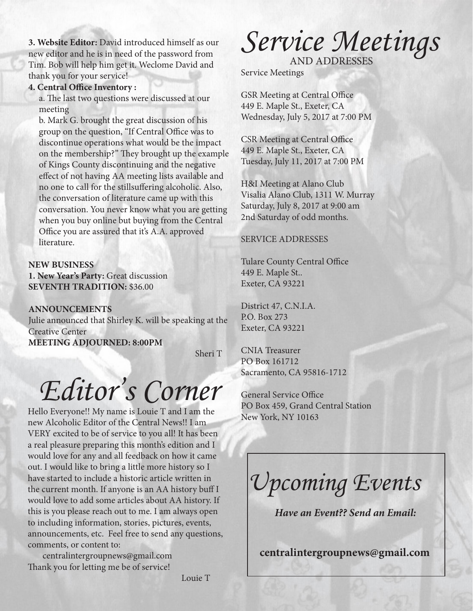**3. Website Editor:** David introduced himself as our new editor and he is in need of the password from Tim. Bob will help him get it. Weclome David and thank you for your service!

#### **4. Central Office Inventory :**

 a. The last two questions were discussed at our meeting

 b. Mark G. brought the great discussion of his group on the question, "If Central Office was to discontinue operations what would be the impact on the membership?" They brought up the example of Kings County discontinuing and the negative effect of not having AA meeting lists available and no one to call for the stillsuffering alcoholic. Also, the conversation of literature came up with this conversation. You never know what you are getting when you buy online but buying from the Central Office you are assured that it's A.A. approved literature.

#### **NEW BUSINESS**

**1. New Year's Party:** Great discussion **SEVENTH TRADITION:** \$36.00

**ANNOUNCEMENTS** Julie announced that Shirley K. will be speaking at the Creative Center **MEETING ADJOURNED: 8:00PM**

Sheri T

*Editor's Corner*

Hello Everyone!! My name is Louie T and I am the new Alcoholic Editor of the Central News!! I am VERY excited to be of service to you all! It has been a real pleasure preparing this month's edition and I would love for any and all feedback on how it came out. I would like to bring a little more history so I have started to include a historic article written in the current month. If anyone is an AA history buff I would love to add some articles about AA history. If this is you please reach out to me. I am always open to including information, stories, pictures, events, announcements, etc. Feel free to send any questions, comments, or content to:

 centralintergroupnews@gmail.com Thank you for letting me be of service!

*Service Meetings* 

Service Meetings

GSR Meeting at Central Office 449 E. Maple St., Exeter, CA Wednesday, July 5, 2017 at 7:00 PM

CSR Meeting at Central Office 449 E. Maple St., Exeter, CA Tuesday, July 11, 2017 at 7:00 PM

H&I Meeting at Alano Club Visalia Alano Club, 1311 W. Murray Saturday, July 8, 2017 at 9:00 am 2nd Saturday of odd months.

#### SERVICE ADDRESSES

Tulare County Central Office 449 E. Maple St.. Exeter, CA 93221

District 47, C.N.I.A. P.O. Box 273 Exeter, CA 93221

CNIA Treasurer PO Box 161712 Sacramento, CA 95816-1712

General Service Office PO Box 459, Grand Central Station New York, NY 10163

*Upcoming Events*

*Have an Event?? Send an Email:*

**centralintergroupnews@gmail.com**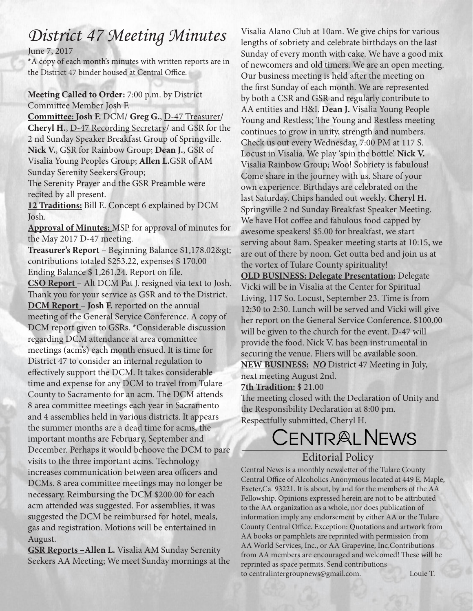### *District 47 Meeting Minutes*

June 7, 2017

\*A copy of each month's minutes with written reports are in the District 47 binder housed at Central Office.

#### **Meeting Called to Order:** 7:00 p.m. by District Committee Member Josh F.

**Committee: Josh F.** DCM/ **Greg G.**, D-47 Treasurer/ **Cheryl H.**, D-47 Recording Secretary/ and GSR for the 2 nd Sunday Speaker Breakfast Group of Springville. **Nick V.**, GSR for Rainbow Group; **Dean J.**, GSR of Visalia Young Peoples Group; **Allen L.**GSR of AM Sunday Serenity Seekers Group;

The Serenity Prayer and the GSR Preamble were recited by all present.

**12 Traditions:** Bill E. Concept 6 explained by DCM Josh.

**Approval of Minutes:** MSP for approval of minutes for the May 2017 D-47 meeting.

Treasurer's Report - Beginning Balance \$1,178.02> contributions totaled \$253.22, expenses \$ 170.00 Ending Balance \$ 1,261.24. Report on file.

**CSO Report** – Alt DCM Pat J. resigned via text to Josh. Thank you for your service as GSR and to the District. **DCM Report** – **Josh F.** reported on the annual meeting of the General Service Conference. A copy of DCM report given to GSRs. \*Considerable discussion regarding DCM attendance at area committee meetings (acm's) each month ensued. It is time for District 47 to consider an internal regulation to effectively support the DCM. It takes considerable time and expense for any DCM to travel from Tulare County to Sacramento for an acm. The DCM attends 8 area committee meetings each year in Sacramento and 4 assemblies held in various districts. It appears the summer months are a dead time for acms, the important months are February, September and December. Perhaps it would behoove the DCM to pare visits to the three important acms. Technology increases communication between area officers and DCMs. 8 area committee meetings may no longer be necessary. Reimbursing the DCM \$200.00 for each acm attended was suggested. For assemblies, it was suggested the DCM be reimbursed for hotel, meals, gas and registration. Motions will be entertained in August.

**GSR Reports –Allen L.** Visalia AM Sunday Serenity Seekers AA Meeting; We meet Sunday mornings at the

Visalia Alano Club at 10am. We give chips for various lengths of sobriety and celebrate birthdays on the last Sunday of every month with cake. We have a good mix of newcomers and old timers. We are an open meeting. Our business meeting is held after the meeting on the first Sunday of each month. We are represented by both a CSR and GSR and regularly contribute to AA entities and H&I. **Dean J.** Visalia Young People Young and Restless; The Young and Restless meeting continues to grow in unity, strength and numbers. Check us out every Wednesday, 7:00 PM at 117 S. Locust in Visalia. We play 'spin the bottle'. **Nick V.** Visalia Rainbow Group; Woo! Sobriety is fabulous! Come share in the journey with us. Share of your own experience. Birthdays are celebrated on the last Saturday. Chips handed out weekly. **Cheryl H.** Springville 2 nd Sunday Breakfast Speaker Meeting. We have Hot coffee and fabulous food capped by awesome speakers! \$5.00 for breakfast, we start serving about 8am. Speaker meeting starts at 10:15, we are out of there by noon. Get outta bed and join us at the vortex of Tulare County spirituality! **OLD BUSINESS: Delegate Presentation**; Delegate

Vicki will be in Visalia at the Center for Spiritual Living, 117 So. Locust, September 23. Time is from 12:30 to 2:30. Lunch will be served and Vicki will give her report on the General Service Conference. \$100.00 will be given to the church for the event. D-47 will provide the food. Nick V. has been instrumental in securing the venue. Fliers will be available soon. **NEW BUSINESS:** *NO* District 47 Meeting in July, next meeting August 2nd.

**7th Tradition:** \$ 21.00

The meeting closed with the Declaration of Unity and the Responsibility Declaration at 8:00 pm. Respectfully submitted, Cheryl H.

## CENTRALNEWS

#### Editorial Policy

Central News is a monthly newsletter of the Tulare County Central Office of Alcoholics Anonymous located at 449 E. Maple, Exeter,Ca. 93221. It is about, by and for the members of the AA Fellowship. Opinions expressed herein are not to be attributed to the AA organization as a whole, nor does publication of information imply any endorsement by either AA or the Tulare County Central Office. Exception: Quotations and artwork from AA books or pamphlets are reprinted with permission from AA World Services, Inc., or AA Grapevine, Inc.Contributions from AA members are encouraged and welcomed! These will be reprinted as space permits. Send contributions to centralintergroupnews@gmail.com. Louie T.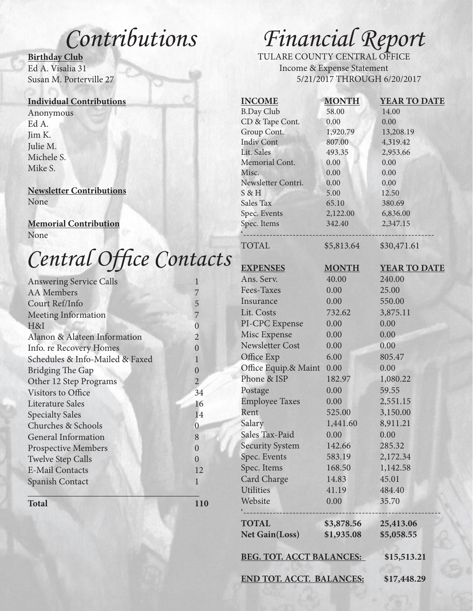## *Contributions*

#### **Birthday Club**

Ed A. Visalia 31 Susan M. Porterville 27

#### **Individual Contributions**

Anonymous Ed A. Jim K. Julie M. Michele S. Mike S.

**Newsletter Contributions** None

#### **Memorial Contribution** None

## *Central Office Contacts*

| <b>Answering Service Calls</b>  |                |
|---------------------------------|----------------|
| <b>AA</b> Members               |                |
| Court Ref/Info                  | 5              |
| <b>Meeting Information</b>      | 7              |
| H&I                             | $\overline{0}$ |
| Alanon & Alateen Information    | $\overline{2}$ |
| Info. re Recovery Homes         | $\Omega$       |
| Schedules & Info-Mailed & Faxed | 1              |
| <b>Bridging The Gap</b>         | $\overline{0}$ |
| Other 12 Step Programs          | $\overline{2}$ |
| Visitors to Office              | 34             |
| Literature Sales                | 16             |
| <b>Specialty Sales</b>          | 14             |
| Churches & Schools              | $\overline{0}$ |
| <b>General Information</b>      | 8              |
| <b>Prospective Members</b>      | $\Omega$       |
| <b>Twelve Step Calls</b>        | $\Omega$       |
| <b>E-Mail Contacts</b>          | 12             |
| Spanish Contact                 |                |

 $\mathcal{H} = \{ \mathbf{y}_1, \mathbf{y}_2, \ldots, \mathbf{y}_N \}$  , where  $\mathcal{H} = \{ \mathbf{y}_1, \mathbf{y}_2, \ldots, \mathbf{y}_N \}$ 

**Total** 110

## *Financial Report*

 TULARE COUNTY CENTRAL OFFICE Income & Expense Statement 5/21/2017 THROUGH 6/20/2017

| <b>INCOME</b>                   | <b>MONTH</b> | YEAR TO DATE |
|---------------------------------|--------------|--------------|
| <b>B.Day Club</b>               | 58.00        | 14.00        |
| CD & Tape Cont.                 | 0.00         | 0.00         |
| Group Cont.                     | 1,920.79     | 13,208.19    |
| <b>Indiv Cont</b>               | 807.00       | 4,319.42     |
| Lit. Sales                      | 493.35       | 2,953.66     |
| Memorial Cont.                  | 0.00         | 0.00         |
| Misc.                           | 0.00         | 0.00         |
| Newsletter Contri.              | 0.00         | 0.00         |
| $S$ &H                          | 5.00         | 12.50        |
| Sales Tax                       | 65.10        | 380.69       |
| Spec. Events                    | 2,122.00     | 6,836.00     |
| Spec. Items                     | 342.40       | 2,347.15     |
|                                 |              |              |
| <b>TOTAL</b>                    | \$5,813.64   | \$30,471.61  |
| <b>EXPENSES</b>                 | <b>MONTH</b> | YEAR TO DATE |
| Ans. Serv.                      | 40.00        | 240.00       |
| <b>Fees-Taxes</b>               | 0.00         | 25.00        |
| Insurance                       | 0.00         | 550.00       |
| Lit. Costs                      | 732.62       | 3,875.11     |
| PI-CPC Expense                  | 0.00         | 0.00         |
| Misc Expense                    | 0.00         | 0.00         |
| <b>Newsletter Cost</b>          | 0.00         | 0.00         |
| Office Exp                      | 6.00         | 805.47       |
| Office Equip.& Maint            | 0.00         | 0.00         |
| Phone & ISP                     | 182.97       | 1,080.22     |
|                                 | 0.00         | 59.55        |
| Postage                         | 0.00         |              |
| <b>Employee Taxes</b>           |              | 2,551.15     |
| Rent                            | 525.00       | 3,150.00     |
| Salary                          | 1,441.60     | 8,911.21     |
| Sales Tax-Paid                  | 0.00         | 0.00         |
| <b>Security System</b>          | 142.66       | 285.32       |
| Spec. Events                    | 583.19       | 2,172.34     |
| Spec. Items                     | 168.50       | 1,142.58     |
| Card Charge                     | 14.83        | 45.01        |
| <b>Utilities</b>                | 41.19        | 484.40       |
| Website                         | 0.00         | 35.70        |
| <b>TOTAL</b>                    | \$3,878.56   | 25,413.06    |
| <b>Net Gain(Loss)</b>           | \$1,935.08   | \$5,058.55   |
| <b>BEG. TOT. ACCT BALANCES:</b> | \$15,513.21  |              |
| <b>END TOT. ACCT. BALANCES:</b> |              | \$17,448.29  |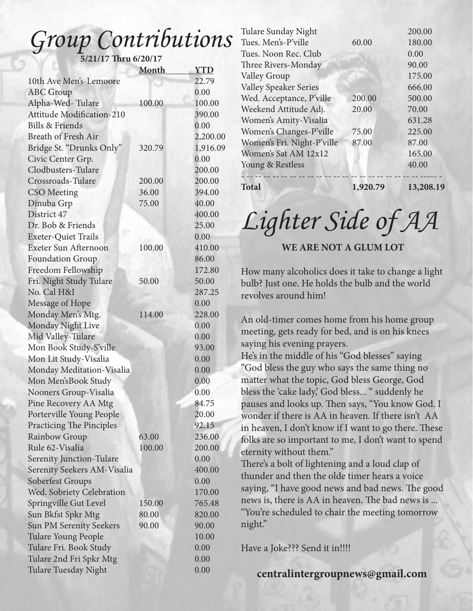# *Group Contributions*

**5/21/17 Thru 6/20/17**

|                                  | <b>Month</b> | <b>YTD</b> |
|----------------------------------|--------------|------------|
| 10th Ave Men's-Lemoore           |              | 22.79      |
| <b>ABC</b> Group                 |              | 0.00       |
| Alpha-Wed-Tulare                 | 100.00       | 100.00     |
| <b>Attitude Modification-210</b> |              | 390.00     |
| <b>Bills &amp; Friends</b>       |              | 0.00       |
| <b>Breath of Fresh Air</b>       |              | 2,200.00   |
| Bridge St. "Drunks Only"         | 320.79       | 1,916.09   |
| Civic Center Grp.                |              | 0.00       |
| Clodbusters-Tulare               |              | 200.00     |
| Crossroads-Tulare                | 200.00       | 200.00     |
| <b>CSO</b> Meeting               | 36.00        | 394.00     |
| Dinuba Grp                       | 75.00        | 40.00      |
| District 47                      |              | 400.00     |
| Dr. Bob & Friends                |              | 25.00      |
| <b>Exeter-Quiet Trails</b>       |              | 0.00       |
| Exeter Sun Afternoon             | 100.00       | 410.00     |
| <b>Foundation Group</b>          |              | 86.00      |
| Freedom Fellowship               |              | 172.80     |
| Fri. Night Study Tulare          | 50.00        | 50.00      |
| No. Cal H&I                      |              | 287.25     |
| Message of Hope                  |              | 0.00       |
| Monday Men's Mtg.                | 114.00       | 228.00     |
| Monday Night Live                |              | 0.00       |
| Mid Valley-Tulare                |              | 0.00       |
| Mon Book Study-S'ville           |              | 93.00      |
| Mon Lit Study-Visalia            |              | 0.00       |
| Monday Meditation-Visalia        |              | 0.00       |
| Mon Men'sBook Study              |              | 0.00       |
| Nooners Group-Visalia            |              | 0.00       |
| Pine Recovery AA Mtg             |              | 84.75      |
| Porterville Young People         |              | 20.00      |
| <b>Practicing The Pinciples</b>  |              | 92.15      |
| Rainbow Group                    | 63.00        | 236.00     |
| Rule 62-Visalia                  | 100.00       | 200.00     |
| <b>Serenity Junction-Tulare</b>  |              | 0.00       |
| Serenity Seekers AM-Visalia      |              | 400.00     |
| Soberfest Groups                 |              | 0.00       |
| Wed. Sobriety Celebration        |              | 170.00     |
| Springville Gut Level            | 150.00       | 765.48     |
| Sun Bkfst Spkr Mtg               | 80.00        | 820.00     |
| <b>Sun PM Serenity Seekers</b>   | 90.00        | 90.00      |
| <b>Tulare Young People</b>       |              | 10.00      |
| Tulare Fri. Book Study           |              | 0.00       |
| Tulare 2nd Fri Spkr Mtg          |              | 0.00       |
| <b>Tulare Tuesday Night</b>      |              | 0.00       |

| Tulare Sunday Night          |          | 200.00    |
|------------------------------|----------|-----------|
| Tues. Men's-P'ville          | 60.00    | 180.00    |
| Tues. Noon Rec. Club         |          | 0.00      |
| Three Rivers-Monday          |          | 90.00     |
| <b>Valley Group</b>          |          | 175.00    |
| <b>Valley Speaker Series</b> |          | 666.00    |
| Wed. Acceptance, P'ville     | 200.00   | 500.00    |
| Weekend Attitude Adj.        | 20.00    | 70.00     |
| Women's Amity-Visalia        |          | 631.28    |
| Women's Changes-P'ville      | 75.00    | 225.00    |
| Women's Fri. Night-P'ville   | 87.00    | 87.00     |
| Women's Sat AM 12x12         |          | 165.00    |
| Young & Restless             |          | 40.00     |
|                              |          |           |
| <b>Total</b>                 | 1,920.79 | 13,208.19 |
|                              |          |           |

*Lighter Side of AA*

**WE ARE NOT A GLUM LOT**

How many alcoholics does it take to change a light bulb? Just one. He holds the bulb and the world revolves around him!

An old-timer comes home from his home group meeting, gets ready for bed, and is on his knees saying his evening prayers.

He's in the middle of his "God blesses" saying "God bless the guy who says the same thing no matter what the topic, God bless George, God bless the 'cake lady,' God bless... " suddenly he pauses and looks up. Then says, "You know God. I wonder if there is AA in heaven. If there isn't AA in heaven, I don't know if I want to go there. These folks are so important to me, I don't want to spend eternity without them."

There's a bolt of lightening and a loud clap of thunder and then the olde timer hears a voice saying, "I have good news and bad news. The good news is, there is AA in heaven. The bad news is ... "You're scheduled to chair the meeting tomorrow night."

Have a Joke??? Send it in!!!!

**centralintergroupnews@gmail.com**